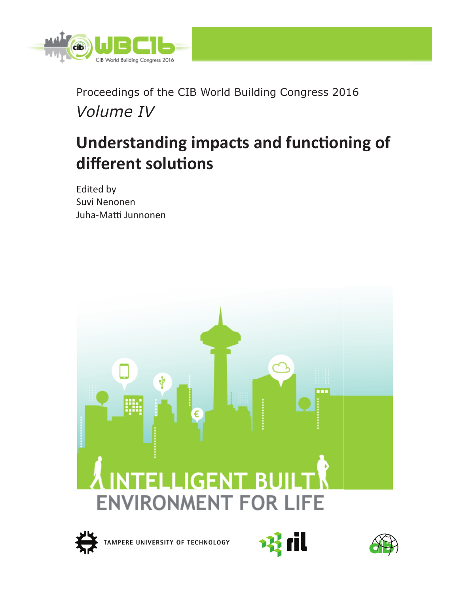

Proceedings of the CIB World Building Congress 2016 *Volume IV* 

# **Understanding impacts and functioning of**  $different$  solutions

Edited by Suvi Nenonen Juha-Matti Junnonen

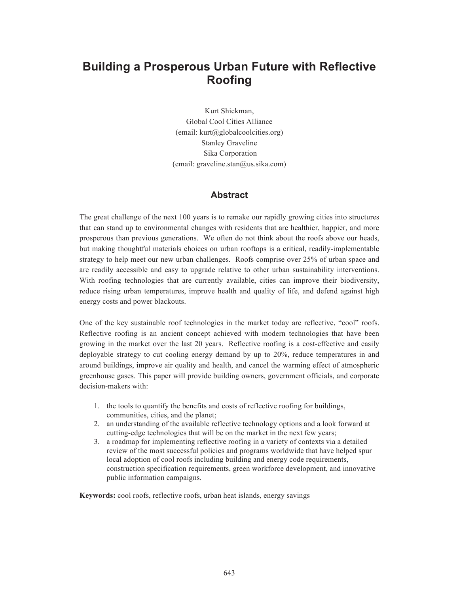# **Building a Prosperous Urban Future with Reflective Roofing**

Kurt Shickman, Global Cool Cities Alliance (email: kurt@globalcoolcities.org) Stanley Graveline Sika Corporation  $(email: graveline.stan@us.sika.com)$ 

# **Abstract**

The great challenge of the next 100 years is to remake our rapidly growing cities into structures that can stand up to environmental changes with residents that are healthier, happier, and more prosperous than previous generations. We often do not think about the roofs above our heads, but making thoughtful materials choices on urban rooftops is a critical, readily-implementable strategy to help meet our new urban challenges. Roofs comprise over 25% of urban space and are readily accessible and easy to upgrade relative to other urban sustainability interventions. With roofing technologies that are currently available, cities can improve their biodiversity, reduce rising urban temperatures, improve health and quality of life, and defend against high energy costs and power blackouts.

One of the key sustainable roof technologies in the market today are reflective, "cool" roofs. Reflective roofing is an ancient concept achieved with modern technologies that have been growing in the market over the last 20 years. Reflective roofing is a cost-effective and easily deployable strategy to cut cooling energy demand by up to 20%, reduce temperatures in and around buildings, improve air quality and health, and cancel the warming effect of atmospheric greenhouse gases. This paper will provide building owners, government officials, and corporate decision-makers with:

- 1. the tools to quantify the benefits and costs of reflective roofing for buildings, communities, cities, and the planet;
- 2. an understanding of the available reflective technology options and a look forward at cutting-edge technologies that will be on the market in the next few years;
- 3. a roadmap for implementing reflective roofing in a variety of contexts via a detailed review of the most successful policies and programs worldwide that have helped spur local adoption of cool roofs including building and energy code requirements, construction specification requirements, green workforce development, and innovative public information campaigns.

**Keywords:** cool roofs, reflective roofs, urban heat islands, energy savings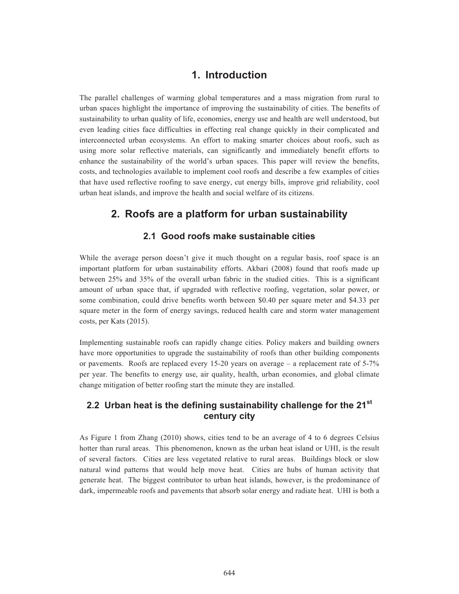# **1. Introduction**

The parallel challenges of warming global temperatures and a mass migration from rural to urban spaces highlight the importance of improving the sustainability of cities. The benefits of sustainability to urban quality of life, economies, energy use and health are well understood, but even leading cities face difficulties in effecting real change quickly in their complicated and interconnected urban ecosystems. An effort to making smarter choices about roofs, such as using more solar reflective materials, can significantly and immediately benefit efforts to enhance the sustainability of the world's urban spaces. This paper will review the benefits, costs, and technologies available to implement cool roofs and describe a few examples of cities that have used reflective roofing to save energy, cut energy bills, improve grid reliability, cool urban heat islands, and improve the health and social welfare of its citizens.

# **2. Roofs are a platform for urban sustainability**

# **2.1 Good roofs make sustainable cities**

While the average person doesn't give it much thought on a regular basis, roof space is an important platform for urban sustainability efforts. Akbari (2008) found that roofs made up between 25% and 35% of the overall urban fabric in the studied cities. This is a significant amount of urban space that, if upgraded with reflective roofing, vegetation, solar power, or some combination, could drive benefits worth between \$0.40 per square meter and \$4.33 per square meter in the form of energy savings, reduced health care and storm water management costs, per Kats (2015).

Implementing sustainable roofs can rapidly change cities. Policy makers and building owners have more opportunities to upgrade the sustainability of roofs than other building components or pavements. Roofs are replaced every 15-20 years on average  $-$  a replacement rate of 5-7% per year. The benefits to energy use, air quality, health, urban economies, and global climate change mitigation of better roofing start the minute they are installed.

# **2.2 Urban heat is the defining sustainability challenge for the 21st century city**

As Figure 1 from Zhang (2010) shows, cities tend to be an average of 4 to 6 degrees Celsius hotter than rural areas. This phenomenon, known as the urban heat island or UHI, is the result of several factors. Cities are less vegetated relative to rural areas. Buildings block or slow natural wind patterns that would help move heat. Cities are hubs of human activity that generate heat. The biggest contributor to urban heat islands, however, is the predominance of dark, impermeable roofs and pavements that absorb solar energy and radiate heat. UHI is both a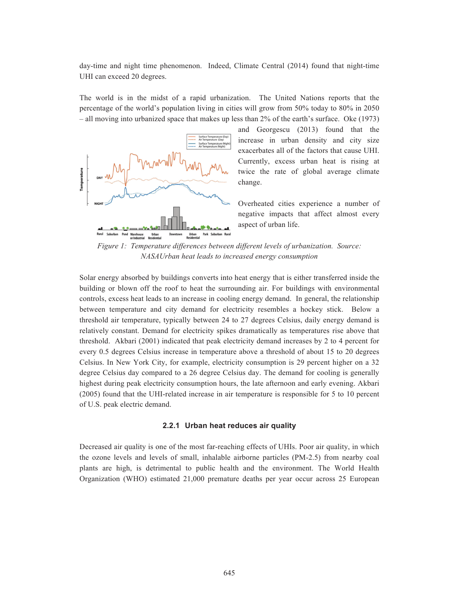day-time and night time phenomenon. Indeed, Climate Central (2014) found that night-time UHI can exceed 20 degrees.

The world is in the midst of a rapid urbanization. The United Nations reports that the percentage of the world's population living in cities will grow from 50% today to 80% in 2050 – all moving into urbanized space that makes up less than 2% of the earth's surface. Oke (1973)



and Georgescu (2013) found that the increase in urban density and city size exacerbates all of the factors that cause UHI. Currently, excess urban heat is rising at twice the rate of global average climate change.

Overheated cities experience a number of negative impacts that affect almost every aspect of urban life.

*Figure 1: Temperature differences between different levels of urbanization. Source: NASAUrban heat leads to increased energy consumption* 

Solar energy absorbed by buildings converts into heat energy that is either transferred inside the building or blown off the roof to heat the surrounding air. For buildings with environmental controls, excess heat leads to an increase in cooling energy demand. In general, the relationship between temperature and city demand for electricity resembles a hockey stick. Below a threshold air temperature, typically between 24 to 27 degrees Celsius, daily energy demand is relatively constant. Demand for electricity spikes dramatically as temperatures rise above that threshold. Akbari (2001) indicated that peak electricity demand increases by 2 to 4 percent for every 0.5 degrees Celsius increase in temperature above a threshold of about 15 to 20 degrees Celsius. In New York City, for example, electricity consumption is 29 percent higher on a 32 degree Celsius day compared to a 26 degree Celsius day. The demand for cooling is generally highest during peak electricity consumption hours, the late afternoon and early evening. Akbari (2005) found that the UHI-related increase in air temperature is responsible for 5 to 10 percent of U.S. peak electric demand.

#### **2.2.1 Urban heat reduces air quality**

Decreased air quality is one of the most far-reaching effects of UHIs. Poor air quality, in which the ozone levels and levels of small, inhalable airborne particles (PM-2.5) from nearby coal plants are high, is detrimental to public health and the environment. The World Health Organization (WHO) estimated 21,000 premature deaths per year occur across 25 European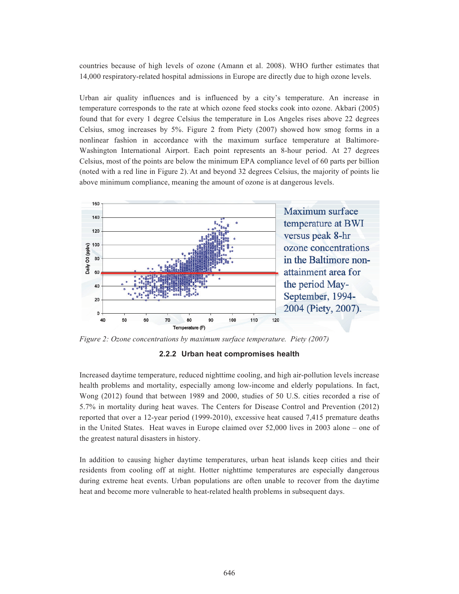countries because of high levels of ozone (Amann et al. 2008). WHO further estimates that 14,000 respiratory-related hospital admissions in Europe are directly due to high ozone levels.

Urban air quality influences and is influenced by a city's temperature. An increase in temperature corresponds to the rate at which ozone feed stocks cook into ozone. Akbari (2005) found that for every 1 degree Celsius the temperature in Los Angeles rises above 22 degrees Celsius, smog increases by 5%. Figure 2 from Piety (2007) showed how smog forms in a nonlinear fashion in accordance with the maximum surface temperature at Baltimore-Washington International Airport. Each point represents an 8-hour period. At 27 degrees Celsius, most of the points are below the minimum EPA compliance level of 60 parts per billion (noted with a red line in Figure 2)..At and beyond 32 degrees Celsius, the majority of points lie above minimum compliance, meaning the amount of ozone is at dangerous levels.



*Figure 2: Ozone concentrations by maximum surface temperature. Piety (2007)* 

**2.2.2 Urban heat compromises health** 

Increased daytime temperature, reduced nighttime cooling, and high air-pollution levels increase health problems and mortality, especially among low-income and elderly populations. In fact, Wong (2012) found that between 1989 and 2000, studies of 50 U.S. cities recorded a rise of 5.7% in mortality during heat waves. The Centers for Disease Control and Prevention (2012) reported that over a 12-year period (1999-2010), excessive heat caused 7,415 premature deaths in the United States. Heat waves in Europe claimed over 52,000 lives in 2003 alone – one of the greatest natural disasters in history.

In addition to causing higher daytime temperatures, urban heat islands keep cities and their residents from cooling off at night. Hotter nighttime temperatures are especially dangerous during extreme heat events. Urban populations are often unable to recover from the daytime heat and become more vulnerable to heat-related health problems in subsequent days.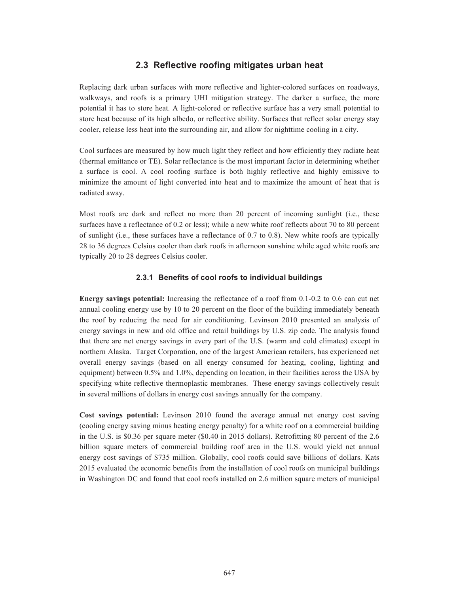# **2.3 Reflective roofing mitigates urban heat**

Replacing dark urban surfaces with more reflective and lighter-colored surfaces on roadways, walkways, and roofs is a primary UHI mitigation strategy. The darker a surface, the more potential it has to store heat. A light-colored or reflective surface has a very small potential to store heat because of its high albedo, or reflective ability. Surfaces that reflect solar energy stay cooler, release less heat into the surrounding air, and allow for nighttime cooling in a city.

Cool surfaces are measured by how much light they reflect and how efficiently they radiate heat (thermal emittance or TE). Solar reflectance is the most important factor in determining whether a surface is cool. A cool roofing surface is both highly reflective and highly emissive to minimize the amount of light converted into heat and to maximize the amount of heat that is radiated away.

Most roofs are dark and reflect no more than 20 percent of incoming sunlight (i.e., these surfaces have a reflectance of 0.2 or less); while a new white roof reflects about 70 to 80 percent of sunlight (i.e., these surfaces have a reflectance of 0.7 to 0.8). New white roofs are typically 28 to 36 degrees Celsius cooler than dark roofs in afternoon sunshine while aged white roofs are typically 20 to 28 degrees Celsius cooler.

#### **2.3.1 Benefits of cool roofs to individual buildings**

**Energy savings potential:** Increasing the reflectance of a roof from 0.1-0.2 to 0.6 can cut net annual cooling energy use by 10 to 20 percent on the floor of the building immediately beneath the roof by reducing the need for air conditioning. Levinson 2010 presented an analysis of energy savings in new and old office and retail buildings by U.S. zip code. The analysis found that there are net energy savings in every part of the U.S. (warm and cold climates) except in northern Alaska. Target Corporation, one of the largest American retailers, has experienced net overall energy savings (based on all energy consumed for heating, cooling, lighting and equipment) between 0.5% and 1.0%, depending on location, in their facilities across the USA by specifying white reflective thermoplastic membranes. These energy savings collectively result in several millions of dollars in energy cost savings annually for the company.

**Cost savings potential:** Levinson 2010 found the average annual net energy cost saving (cooling energy saving minus heating energy penalty) for a white roof on a commercial building in the U.S. is \$0.36 per square meter (\$0.40 in 2015 dollars). Retrofitting 80 percent of the 2.6 billion square meters of commercial building roof area in the U.S. would yield net annual energy cost savings of \$735 million. Globally, cool roofs could save billions of dollars. Kats 2015 evaluated the economic benefits from the installation of cool roofs on municipal buildings in Washington DC and found that cool roofs installed on 2.6 million square meters of municipal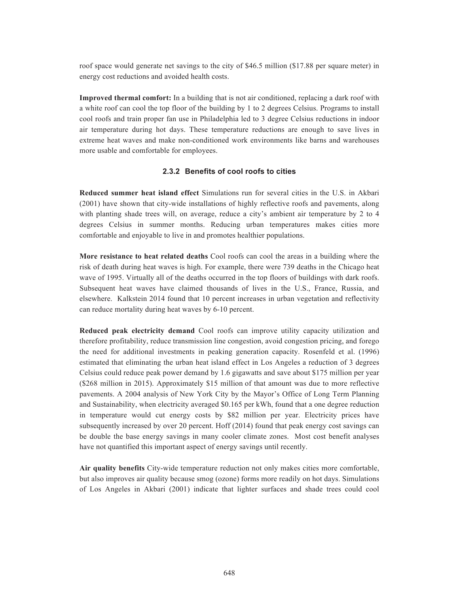roof space would generate net savings to the city of \$46.5 million (\$17.88 per square meter) in energy cost reductions and avoided health costs.

**Improved thermal comfort:** In a building that is not air conditioned, replacing a dark roof with a white roof can cool the top floor of the building by 1 to 2 degrees Celsius. Programs to install cool roofs and train proper fan use in Philadelphia led to 3 degree Celsius reductions in indoor air temperature during hot days. These temperature reductions are enough to save lives in extreme heat waves and make non-conditioned work environments like barns and warehouses more usable and comfortable for employees.

#### **2.3.2 Benefits of cool roofs to cities**

**Reduced summer heat island effect** Simulations run for several cities in the U.S. in Akbari (2001) have shown that city-wide installations of highly reflective roofs and pavements, along with planting shade trees will, on average, reduce a city's ambient air temperature by 2 to 4 degrees Celsius in summer months. Reducing urban temperatures makes cities more comfortable and enjoyable to live in and promotes healthier populations.

**More resistance to heat related deaths** Cool roofs can cool the areas in a building where the risk of death during heat waves is high. For example, there were 739 deaths in the Chicago heat wave of 1995. Virtually all of the deaths occurred in the top floors of buildings with dark roofs. Subsequent heat waves have claimed thousands of lives in the U.S., France, Russia, and elsewhere. Kalkstein 2014 found that 10 percent increases in urban vegetation and reflectivity can reduce mortality during heat waves by 6-10 percent.

**Reduced peak electricity demand** Cool roofs can improve utility capacity utilization and therefore profitability, reduce transmission line congestion, avoid congestion pricing, and forego the need for additional investments in peaking generation capacity. Rosenfeld et al. (1996) estimated that eliminating the urban heat island effect in Los Angeles a reduction of 3 degrees Celsius could reduce peak power demand by 1.6 gigawatts and save about \$175 million per year (\$268 million in 2015). Approximately \$15 million of that amount was due to more reflective pavements. A 2004 analysis of New York City by the Mayor's Office of Long Term Planning and Sustainability, when electricity averaged \$0.165 per kWh, found that a one degree reduction in temperature would cut energy costs by \$82 million per year. Electricity prices have subsequently increased by over 20 percent. Hoff (2014) found that peak energy cost savings can be double the base energy savings in many cooler climate zones. Most cost benefit analyses have not quantified this important aspect of energy savings until recently.

**Air quality benefits** City-wide temperature reduction not only makes cities more comfortable, but also improves air quality because smog (ozone) forms more readily on hot days. Simulations of Los Angeles in Akbari (2001) indicate that lighter surfaces and shade trees could cool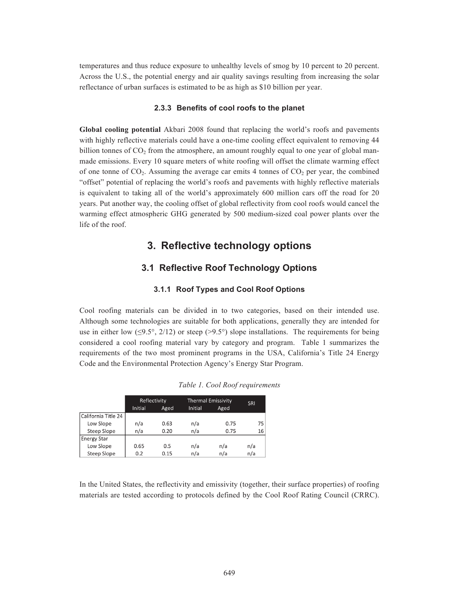temperatures and thus reduce exposure to unhealthy levels of smog by 10 percent to 20 percent. Across the U.S., the potential energy and air quality savings resulting from increasing the solar reflectance of urban surfaces is estimated to be as high as \$10 billion per year.

#### **2.3.3 Benefits of cool roofs to the planet**

**Global cooling potential** Akbari 2008 found that replacing the world's roofs and pavements with highly reflective materials could have a one-time cooling effect equivalent to removing 44 billion tonnes of  $CO<sub>2</sub>$  from the atmosphere, an amount roughly equal to one year of global manmade emissions. Every 10 square meters of white roofing will offset the climate warming effect of one tonne of  $CO<sub>2</sub>$ . Assuming the average car emits 4 tonnes of  $CO<sub>2</sub>$  per year, the combined "offset" potential of replacing the world's roofs and pavements with highly reflective materials is equivalent to taking all of the world's approximately 600 million cars off the road for 20 years. Put another way, the cooling offset of global reflectivity from cool roofs would cancel the warming effect atmospheric GHG generated by 500 medium-sized coal power plants over the life of the roof.

# **3. Reflective technology options**

# **3.1 Reflective Roof Technology Options**

#### **3.1.1 Roof Types and Cool Roof Options**

Cool roofing materials can be divided in to two categories, based on their intended use. Although some technologies are suitable for both applications, generally they are intended for use in either low ( $\leq$ 9.5°, 2/12) or steep ( $>$ 9.5°) slope installations. The requirements for being considered a cool roofing material vary by category and program. Table 1 summarizes the requirements of the two most prominent programs in the USA, California's Title 24 Energy Code and the Environmental Protection Agency's Energy Star Program.

|                     | Reflectivity |      |         | <b>Thermal Emissivity</b> |     |  |
|---------------------|--------------|------|---------|---------------------------|-----|--|
|                     | Initial      | Aged | Initial | Aged                      | SRI |  |
| California Title 24 |              |      |         |                           |     |  |
| Low Slope           | n/a          | 0.63 | n/a     | 0.75                      | 75  |  |
| Steep Slope         | n/a          | 0.20 | n/a     | 0.75                      | 16  |  |
| <b>Energy Star</b>  |              |      |         |                           |     |  |
| Low Slope           | 0.65         | 0.5  | n/a     | n/a                       | n/a |  |
| <b>Steep Slope</b>  | 0.2          | 0.15 | n/a     | n/a                       | n/a |  |

In the United States, the reflectivity and emissivity (together, their surface properties) of roofing materials are tested according to protocols defined by the Cool Roof Rating Council (CRRC).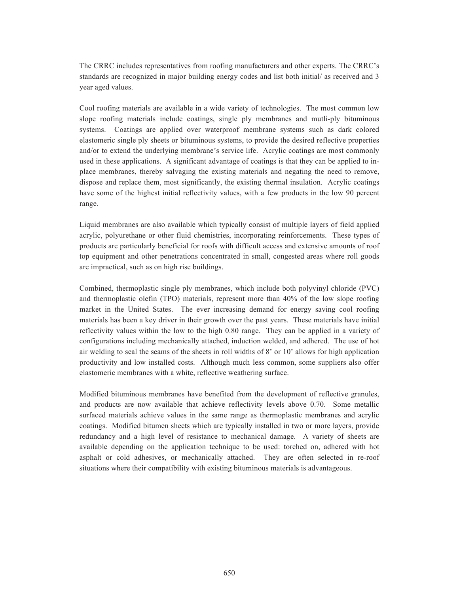The CRRC includes representatives from roofing manufacturers and other experts. The CRRC's standards are recognized in major building energy codes and list both initial/ as received and 3 year aged values.

Cool roofing materials are available in a wide variety of technologies. The most common low slope roofing materials include coatings, single ply membranes and mutli-ply bituminous systems. Coatings are applied over waterproof membrane systems such as dark colored elastomeric single ply sheets or bituminous systems, to provide the desired reflective properties and/or to extend the underlying membrane's service life. Acrylic coatings are most commonly used in these applications. A significant advantage of coatings is that they can be applied to inplace membranes, thereby salvaging the existing materials and negating the need to remove, dispose and replace them, most significantly, the existing thermal insulation. Acrylic coatings have some of the highest initial reflectivity values, with a few products in the low 90 percent range.

Liquid membranes are also available which typically consist of multiple layers of field applied acrylic, polyurethane or other fluid chemistries, incorporating reinforcements. These types of products are particularly beneficial for roofs with difficult access and extensive amounts of roof top equipment and other penetrations concentrated in small, congested areas where roll goods are impractical, such as on high rise buildings.

Combined, thermoplastic single ply membranes, which include both polyvinyl chloride (PVC) and thermoplastic olefin (TPO) materials, represent more than 40% of the low slope roofing market in the United States. The ever increasing demand for energy saving cool roofing materials has been a key driver in their growth over the past years. These materials have initial reflectivity values within the low to the high 0.80 range. They can be applied in a variety of configurations including mechanically attached, induction welded, and adhered. The use of hot air welding to seal the seams of the sheets in roll widths of 8' or 10' allows for high application productivity and low installed costs. Although much less common, some suppliers also offer elastomeric membranes with a white, reflective weathering surface.

Modified bituminous membranes have benefited from the development of reflective granules, and products are now available that achieve reflectivity levels above 0.70. Some metallic surfaced materials achieve values in the same range as thermoplastic membranes and acrylic coatings. Modified bitumen sheets which are typically installed in two or more layers, provide redundancy and a high level of resistance to mechanical damage. A variety of sheets are available depending on the application technique to be used: torched on, adhered with hot asphalt or cold adhesives, or mechanically attached. They are often selected in re-roof situations where their compatibility with existing bituminous materials is advantageous.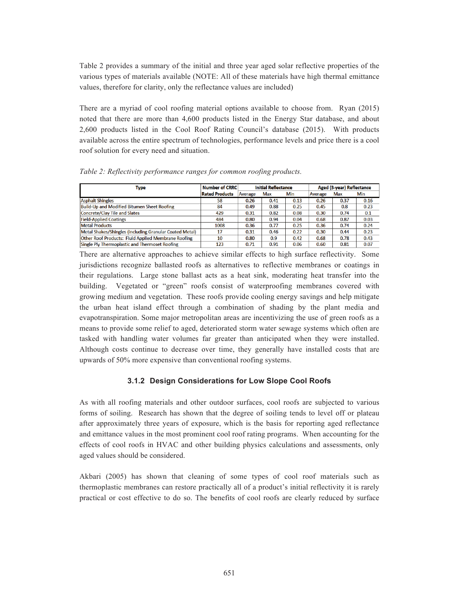Table 2 provides a summary of the initial and three year aged solar reflective properties of the various types of materials available (NOTE: All of these materials have high thermal emittance values, therefore for clarity, only the reflectance values are included)

There are a myriad of cool roofing material options available to choose from. Ryan (2015) noted that there are more than 4,600 products listed in the Energy Star database, and about 2,600 products listed in the Cool Roof Rating Council's database (2015). With products available across the entire spectrum of technologies, performance levels and price there is a cool roof solution for every need and situation.

| Type                                                    | <b>Number of CRRC</b> | <b>Initial Reflectance</b> |      | Aged (3-year) Reflectance |         |      |      |
|---------------------------------------------------------|-----------------------|----------------------------|------|---------------------------|---------|------|------|
|                                                         | <b>Rated Products</b> | Average                    | Max  | Min                       | Average | Max  | Min  |
| <b>Asphalt Shingles</b>                                 | 58                    | 0.26                       | 0.41 | 0.13                      | 0.26    | 0.37 | 0.16 |
| Build-Up and Modified Bitumen Sheet Roofing             | 84                    | 0.49                       | 0.88 | 0.25                      | 0.45    | 0.8  | 0.23 |
| Concrete/Clay Tile and Slates                           | 429                   | 0.31                       | 0.82 | 0.08                      | 0.30    | 0.74 | 0.1  |
| <b>Field-Applied Coatings</b>                           | 484                   | 0.80                       | 0.94 | 0.04                      | 0.68    | 0.87 | 0.03 |
| <b>Metal Products</b>                                   | 1008                  | 0.36                       | 0.77 | 0.25                      | 0.36    | 0.74 | 0.24 |
| Metal Shakes/Shingles (including Granular Coated Metal) | 17                    | 0.31                       | 0.46 | 0.22                      | 0.30    | 0.44 | 0.23 |
| Other Roof Products: Fluid Applied Membrane Roofing     | 10                    | 0.80                       | 0.9  | 0.42                      | 0.68    | 0.78 | 0.43 |
| Single Ply Thermoplastic and Thermoset Roofing          | 123                   | 0.71                       | 0.91 | 0.06                      | 0.60    | 0.81 | 0.07 |

*Table 2: Reflectivity performance ranges for common roofing products.* 

There are alternative approaches to achieve similar effects to high surface reflectivity. Some jurisdictions recognize ballasted roofs as alternatives to reflective membranes or coatings in their regulations. Large stone ballast acts as a heat sink, moderating heat transfer into the building. Vegetated or "green" roofs consist of waterproofing membranes covered with growing medium and vegetation. These roofs provide cooling energy savings and help mitigate the urban heat island effect through a combination of shading by the plant media and evapotranspiration. Some major metropolitan areas are incentivizing the use of green roofs as a means to provide some relief to aged, deteriorated storm water sewage systems which often are tasked with handling water volumes far greater than anticipated when they were installed. Although costs continue to decrease over time, they generally have installed costs that are upwards of 50% more expensive than conventional roofing systems.

#### **3.1.2 Design Considerations for Low Slope Cool Roofs**

As with all roofing materials and other outdoor surfaces, cool roofs are subjected to various forms of soiling. Research has shown that the degree of soiling tends to level off or plateau after approximately three years of exposure, which is the basis for reporting aged reflectance and emittance values in the most prominent cool roof rating programs. When accounting for the effects of cool roofs in HVAC and other building physics calculations and assessments, only aged values should be considered.

Akbari (2005) has shown that cleaning of some types of cool roof materials such as thermoplastic membranes can restore practically all of a product's initial reflectivity it is rarely practical or cost effective to do so. The benefits of cool roofs are clearly reduced by surface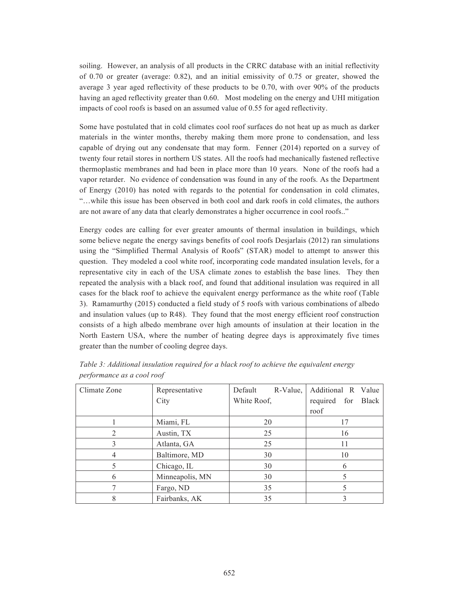soiling. However, an analysis of all products in the CRRC database with an initial reflectivity of 0.70 or greater (average: 0.82), and an initial emissivity of 0.75 or greater, showed the average 3 year aged reflectivity of these products to be 0.70, with over 90% of the products having an aged reflectivity greater than 0.60. Most modeling on the energy and UHI mitigation impacts of cool roofs is based on an assumed value of 0.55 for aged reflectivity.

Some have postulated that in cold climates cool roof surfaces do not heat up as much as darker materials in the winter months, thereby making them more prone to condensation, and less capable of drying out any condensate that may form. Fenner (2014) reported on a survey of twenty four retail stores in northern US states. All the roofs had mechanically fastened reflective thermoplastic membranes and had been in place more than 10 years. None of the roofs had a vapor retarder. No evidence of condensation was found in any of the roofs. As the Department of Energy (2010) has noted with regards to the potential for condensation in cold climates, "…while this issue has been observed in both cool and dark roofs in cold climates, the authors are not aware of any data that clearly demonstrates a higher occurrence in cool roofs.."

Energy codes are calling for ever greater amounts of thermal insulation in buildings, which some believe negate the energy savings benefits of cool roofs Desjarlais (2012) ran simulations using the "Simplified Thermal Analysis of Roofs" (STAR) model to attempt to answer this question. They modeled a cool white roof, incorporating code mandated insulation levels, for a representative city in each of the USA climate zones to establish the base lines. They then repeated the analysis with a black roof, and found that additional insulation was required in all cases for the black roof to achieve the equivalent energy performance as the white roof (Table 3). Ramamurthy (2015) conducted a field study of 5 roofs with various combinations of albedo and insulation values (up to R48). They found that the most energy efficient roof construction consists of a high albedo membrane over high amounts of insulation at their location in the North Eastern USA, where the number of heating degree days is approximately five times greater than the number of cooling degree days.

| Climate Zone | Representative  | Default<br>R-Value, | Additional R Value |  |  |
|--------------|-----------------|---------------------|--------------------|--|--|
|              | City            | White Roof,         | required for Black |  |  |
|              |                 |                     | roof               |  |  |
|              | Miami, FL       | 20                  |                    |  |  |
|              | Austin, TX      | 25                  | 16                 |  |  |
|              | Atlanta, GA     | 25                  | 11                 |  |  |
|              | Baltimore, MD   | 30                  | 10                 |  |  |
|              | Chicago, IL     | 30                  | 6                  |  |  |
| 6            | Minneapolis, MN | 30                  |                    |  |  |
|              | Fargo, ND       | 35                  |                    |  |  |
|              | Fairbanks, AK   | 35                  |                    |  |  |

*Table 3: Additional insulation required for a black roof to achieve the equivalent energy performance as a cool roof*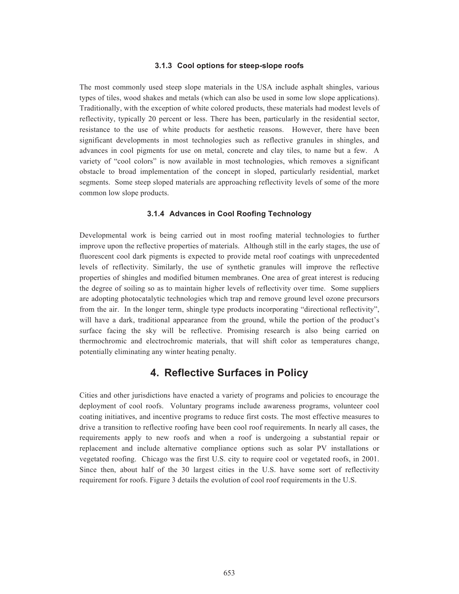#### **3.1.3 Cool options for steep-slope roofs**

The most commonly used steep slope materials in the USA include asphalt shingles, various types of tiles, wood shakes and metals (which can also be used in some low slope applications). Traditionally, with the exception of white colored products, these materials had modest levels of reflectivity, typically 20 percent or less. There has been, particularly in the residential sector, resistance to the use of white products for aesthetic reasons. However, there have been significant developments in most technologies such as reflective granules in shingles, and advances in cool pigments for use on metal, concrete and clay tiles, to name but a few. A variety of "cool colors" is now available in most technologies, which removes a significant obstacle to broad implementation of the concept in sloped, particularly residential, market segments. Some steep sloped materials are approaching reflectivity levels of some of the more common low slope products.

#### **3.1.4 Advances in Cool Roofing Technology**

Developmental work is being carried out in most roofing material technologies to further improve upon the reflective properties of materials. Although still in the early stages, the use of fluorescent cool dark pigments is expected to provide metal roof coatings with unprecedented levels of reflectivity. Similarly, the use of synthetic granules will improve the reflective properties of shingles and modified bitumen membranes. One area of great interest is reducing the degree of soiling so as to maintain higher levels of reflectivity over time. Some suppliers are adopting photocatalytic technologies which trap and remove ground level ozone precursors from the air. In the longer term, shingle type products incorporating "directional reflectivity", will have a dark, traditional appearance from the ground, while the portion of the product's surface facing the sky will be reflective. Promising research is also being carried on thermochromic and electrochromic materials, that will shift color as temperatures change, potentially eliminating any winter heating penalty.

# **4. Reflective Surfaces in Policy**

Cities and other jurisdictions have enacted a variety of programs and policies to encourage the deployment of cool roofs. Voluntary programs include awareness programs, volunteer cool coating initiatives, and incentive programs to reduce first costs. The most effective measures to drive a transition to reflective roofing have been cool roof requirements. In nearly all cases, the requirements apply to new roofs and when a roof is undergoing a substantial repair or replacement and include alternative compliance options such as solar PV installations or vegetated roofing. Chicago was the first U.S. city to require cool or vegetated roofs, in 2001. Since then, about half of the 30 largest cities in the U.S. have some sort of reflectivity requirement for roofs. Figure 3 details the evolution of cool roof requirements in the U.S.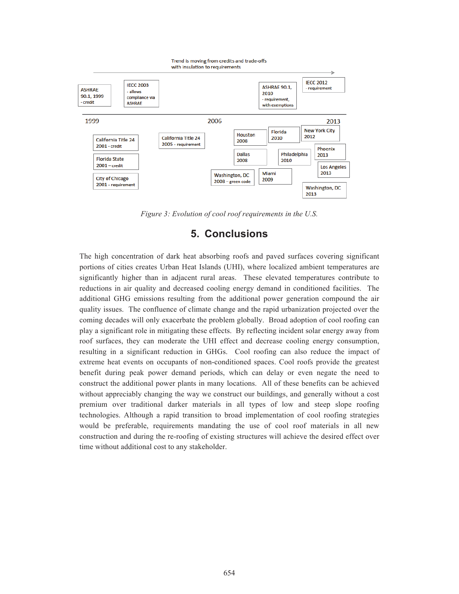

*Figure 3: Evolution of cool roof requirements in the U.S.* 

# **5. Conclusions**

The high concentration of dark heat absorbing roofs and paved surfaces covering significant portions of cities creates Urban Heat Islands (UHI), where localized ambient temperatures are significantly higher than in adjacent rural areas. These elevated temperatures contribute to reductions in air quality and decreased cooling energy demand in conditioned facilities. The additional GHG emissions resulting from the additional power generation compound the air quality issues. The confluence of climate change and the rapid urbanization projected over the coming decades will only exacerbate the problem globally. Broad adoption of cool roofing can play a significant role in mitigating these effects. By reflecting incident solar energy away from roof surfaces, they can moderate the UHI effect and decrease cooling energy consumption, resulting in a significant reduction in GHGs. Cool roofing can also reduce the impact of extreme heat events on occupants of non-conditioned spaces. Cool roofs provide the greatest benefit during peak power demand periods, which can delay or even negate the need to construct the additional power plants in many locations. All of these benefits can be achieved without appreciably changing the way we construct our buildings, and generally without a cost premium over traditional darker materials in all types of low and steep slope roofing technologies. Although a rapid transition to broad implementation of cool roofing strategies would be preferable, requirements mandating the use of cool roof materials in all new construction and during the re-roofing of existing structures will achieve the desired effect over time without additional cost to any stakeholder.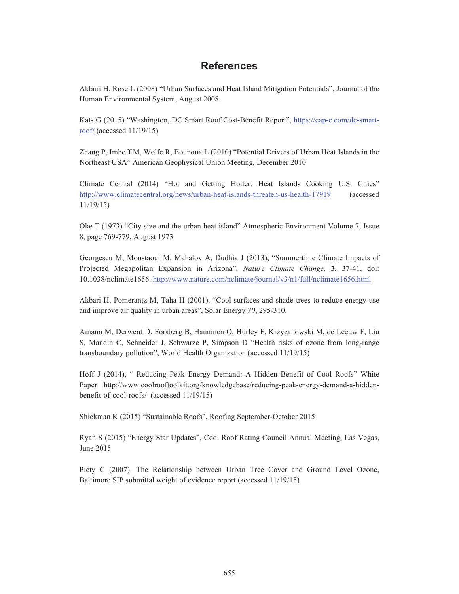# **References**

Akbari H, Rose L (2008) "Urban Surfaces and Heat Island Mitigation Potentials", Journal of the Human Environmental System, August 2008.

Kats G (2015) "Washington, DC Smart Roof Cost-Benefit Report", https://cap-e.com/dc-smartroof/ (accessed 11/19/15)

Zhang P, Imhoff M, Wolfe R, Bounoua L (2010) "Potential Drivers of Urban Heat Islands in the Northeast USA" American Geophysical Union Meeting, December 2010

Climate Central (2014) "Hot and Getting Hotter: Heat Islands Cooking U.S. Cities" http://www.climatecentral.org/news/urban-heat-islands-threaten-us-health-17919 (accessed 11/19/15)

Oke T (1973) "City size and the urban heat island" Atmospheric Environment Volume 7, Issue 8, page 769-779, August 1973

Georgescu M, Moustaoui M, Mahalov A, Dudhia J (2013), "Summertime Climate Impacts of Projected Megapolitan Expansion in Arizona", *Nature Climate Change*, **3**, 37-41, doi: 10.1038/nclimate1656. http://www.nature.com/nclimate/journal/v3/n1/full/nclimate1656.html

Akbari H, Pomerantz M, Taha H (2001). "Cool surfaces and shade trees to reduce energy use and improve air quality in urban areas", Solar Energy *70*, 295-310.

Amann M, Derwent D, Forsberg B, Hanninen O, Hurley F, Krzyzanowski M, de Leeuw F, Liu S, Mandin C, Schneider J, Schwarze P, Simpson D "Health risks of ozone from long-range transboundary pollution", World Health Organization (accessed 11/19/15)

Hoff J (2014), " Reducing Peak Energy Demand: A Hidden Benefit of Cool Roofs" White Paper http://www.coolrooftoolkit.org/knowledgebase/reducing-peak-energy-demand-a-hiddenbenefit-of-cool-roofs/ (accessed 11/19/15)

Shickman K (2015) "Sustainable Roofs", Roofing September-October 2015

Ryan S (2015) "Energy Star Updates", Cool Roof Rating Council Annual Meeting, Las Vegas, June 2015

Piety C (2007). The Relationship between Urban Tree Cover and Ground Level Ozone, Baltimore SIP submittal weight of evidence report (accessed 11/19/15)